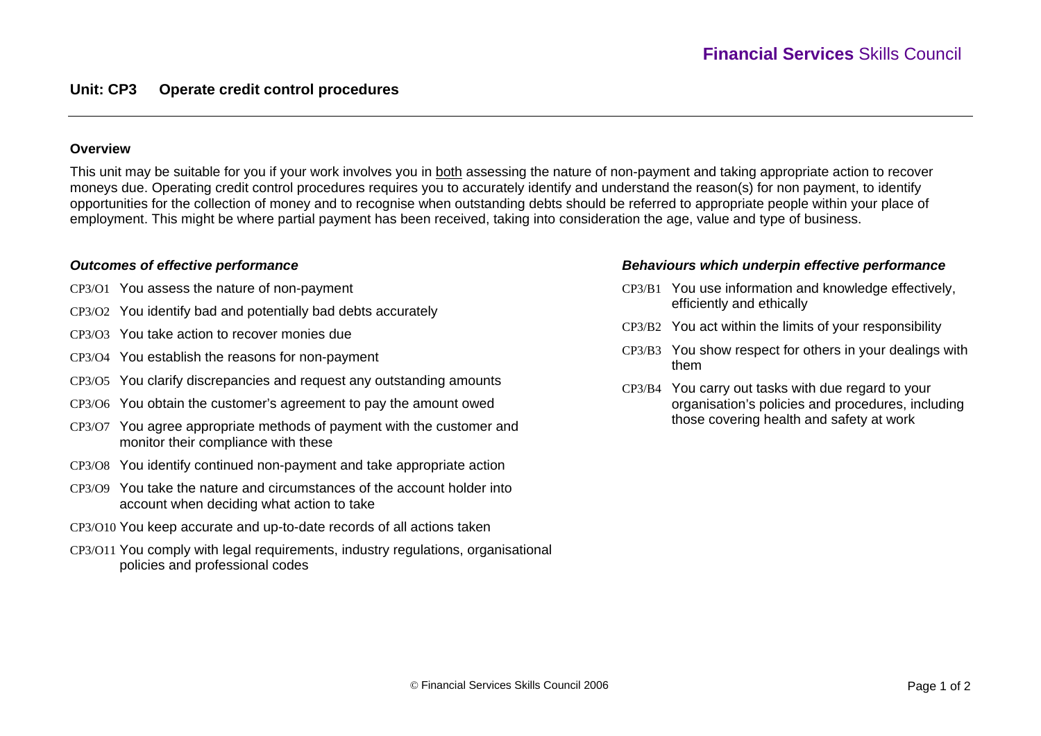#### **Overview**

This unit may be suitable for you if your work involves you in both assessing the nature of non-payment and taking appropriate action to recover moneys due. Operating credit control procedures requires you to accurately identify and understand the reason(s) for non payment, to identify opportunities for the collection of money and to recognise when outstanding debts should be referred to appropriate people within your place of employment. This might be where partial payment has been received, taking into consideration the age, value and type of business.

### *Outcomes of effective performance*

- CP3/O1 You assess the nature of non-payment
- CP3/O2 You identify bad and potentially bad debts accurately
- CP3/O3 You take action to recover monies due
- CP3/O4 You establish the reasons for non-payment
- CP3/O5 You clarify discrepancies and request any outstanding amounts
- CP3/O6 You obtain the customer's agreement to pay the amount owed
- CP3/O7 You agree appropriate methods of payment with the customer and monitor their compliance with these
- CP3/O8 You identify continued non-payment and take appropriate action
- CP3/O9 You take the nature and circumstances of the account holder into account when deciding what action to take
- CP3/O10 You keep accurate and up-to-date records of all actions taken
- CP3/O11 You comply with legal requirements, industry regulations, organisational policies and professional codes

#### *Behaviours which underpin effective performance*

- CP3/B1 You use information and knowledge effectively, efficiently and ethically
- CP3/B2 You act within the limits of your responsibility
- CP3/B3 You show respect for others in your dealings with them
- CP3/B4 You carry out tasks with due regard to your organisation's policies and procedures, including those covering health and safety at work